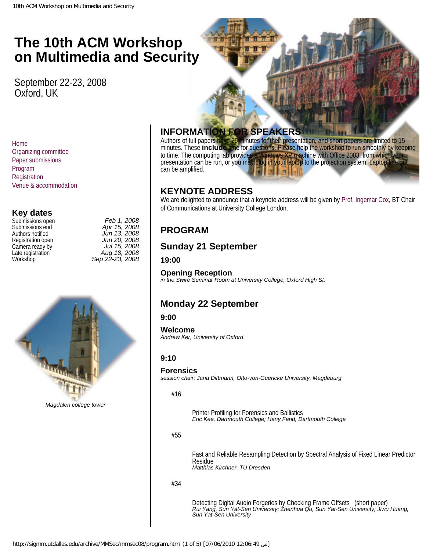# <span id="page-0-0"></span>**The 10th ACM Workshop The 10th ACM Workshop The 10th ACM Workshop on Multimedia and on Multimedia and on Multimedia and Security**

**Security Security** September 22-23, 2008 Oxford, UK

[Home](http://sigmm.utdallas.edu/archive/MMSec/mmsec08/index-2.html) [Organizing committee](http://sigmm.utdallas.edu/archive/MMSec/mmsec08/committee.html) [Paper submissions](http://sigmm.utdallas.edu/archive/MMSec/mmsec08/submissions.html) [Program](#page-0-0) [Registration](http://sigmm.utdallas.edu/archive/MMSec/mmsec08/registration.html) [Venue & accommodation](http://sigmm.utdallas.edu/archive/MMSec/mmsec08/venue.html)

# **Key dates**

| <b>SUDITIISSIOHS OPEH</b> |
|---------------------------|
| Submissions end           |
| Authors notified          |
| Registration open         |
| Camera ready by           |
| Late registration         |
| Workshop                  |

| Submissions open  | Feb 1, 2008     |
|-------------------|-----------------|
| Submissions end   | Apr 15, 2008    |
| Authors notified  | Jun 13, 2008    |
| Registration open | Jun 20, 2008    |
| Camera ready by   | Jul 15, 2008    |
| Late registration | Aug 18, 2008    |
| Workshop          | Sep 22-23, 2008 |
|                   |                 |



*Magdalen college tower*

## **INFORMATION FOR SPEAKERS**

Authors of full papers have 25 minutes for their presentation, and short papers are limited to 15 minutes. These **include** time for questions. Please help the workshop to run smoothly by keeping to time. The computing lab provides a Windows XP machine with Office 2003, from which your presentation can be run, or you may plug in your laptop to the projection system. Laptop line out can be amplified.

# **KEYNOTE ADDRESS**

We are delighted to announce that a keynote address will be given by [Prof. Ingemar Cox](http://www.adastral.ucl.ac.uk/~icox/), BT Chair of Communications at University College London.

# **PROGRAM**

# **Sunday 21 September**

### **19:00**

**Opening Reception** *in the Swire Seminar Room at University College, Oxford High St.*

# **Monday 22 September**

### **9:00**

**Welcome** *Andrew Ker, University of Oxford*

## **9:10**

#### **Forensics**

*session chair: Jana Dittmann, Otto-von-Guericke University, Magdeburg*

#16

Printer Profiling for Forensics and Ballistics *Eric Kee, Dartmouth College; Hany Farid, Dartmouth College*

#### #55

Fast and Reliable Resampling Detection by Spectral Analysis of Fixed Linear Predictor Residue *Matthias Kirchner, TU Dresden*

#### #34

Detecting Digital Audio Forgeries by Checking Frame Offsets (short paper) *Rui Yang, Sun Yat-Sen University; Zhenhua Qu, Sun Yat-Sen University; Jiwu Huang, Sun Yat-Sen University*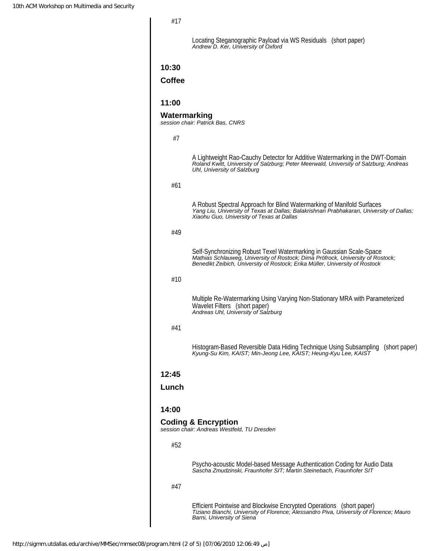#17

Locating Steganographic Payload via WS Residuals (short paper) *Andrew D. Ker, University of Oxford*

#### **10:30**

### **Coffee**

#### **11:00**

#### **Watermarking**

*session chair: Patrick Bas, CNRS*

#7

| π1    |                                                                                                                                                                                                                                         |
|-------|-----------------------------------------------------------------------------------------------------------------------------------------------------------------------------------------------------------------------------------------|
|       | A Lightweight Rao-Cauchy Detector for Additive Watermarking in the DWT-Domain<br>Roland Kwitt, University of Salzburg; Peter Meerwald, University of Salzburg; Andreas<br>Uhl, University of Salzburg                                   |
| #61   |                                                                                                                                                                                                                                         |
|       | A Robust Spectral Approach for Blind Watermarking of Manifold Surfaces<br>Yang Liu, University of Texas at Dallas; Balakrishnan Prabhakaran, University of Dallas;<br>Xiaohu Guo, University of Texas at Dallas                         |
| #49   |                                                                                                                                                                                                                                         |
|       |                                                                                                                                                                                                                                         |
|       | Self-Synchronizing Robust Texel Watermarking in Gaussian Scale-Space<br>Mathias Schlauweg, University of Rostock; Dima Pröfrock, University of Rostock;<br>Benedikt Zeibich, University of Rostock; Erika Müller, University of Rostock |
| #10   |                                                                                                                                                                                                                                         |
|       |                                                                                                                                                                                                                                         |
|       | Multiple Re-Watermarking Using Varying Non-Stationary MRA with Parameterized<br>Wavelet Filters (short paper)<br>Andreas Uhl, University of Salzburg                                                                                    |
| #41   |                                                                                                                                                                                                                                         |
|       |                                                                                                                                                                                                                                         |
|       | Histogram-Based Reversible Data Hiding Technique Using Subsampling (short paper)<br>Kyung-Su Kim, KAIST; Min-Jeong Lee, KAIST; Heung-Kyu Lee, KAIST                                                                                     |
| 12:45 |                                                                                                                                                                                                                                         |
|       |                                                                                                                                                                                                                                         |
| Lunch |                                                                                                                                                                                                                                         |
| 14:00 |                                                                                                                                                                                                                                         |
|       | <b>Coding &amp; Encryption</b><br>session chair: Andreas Westfeld, TU Dresden                                                                                                                                                           |
| #52   |                                                                                                                                                                                                                                         |
|       |                                                                                                                                                                                                                                         |
|       | Psycho-acoustic Model-based Message Authentication Coding for Audio Data<br>Sascha Zmudzinski, Fraunhofer SIT; Martin Steinebach, Fraunhofer SIT                                                                                        |
| #47   |                                                                                                                                                                                                                                         |
|       | Efficient Pointwise and Blockwise Encrypted Operations (short paper)<br>Tiziano Bianchi, University of Florence; Alessandro Piva, University of Florence; Mauro<br>Barni, University of Siena                                           |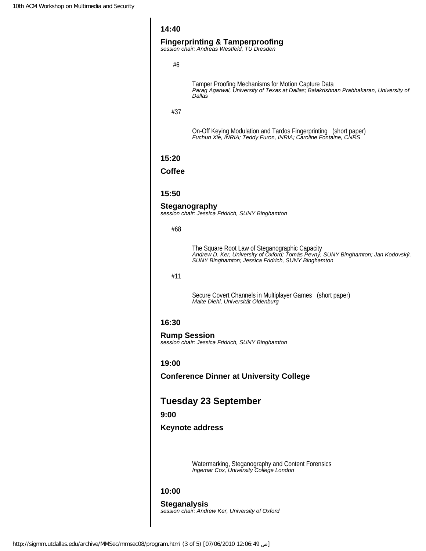#### **14:40**

#### **Fingerprinting & Tamperproofing**

*session chair: Andreas Westfeld, TU Dresden*

#6

Tamper Proofing Mechanisms for Motion Capture Data *Parag Agarwal, University of Texas at Dallas; Balakrishnan Prabhakaran, University of Dallas*

#37

On-Off Keying Modulation and Tardos Fingerprinting (short paper) *Fuchun Xie, INRIA; Teddy Furon, INRIA; Caroline Fontaine, CNRS*

#### **15:20**

#### **Coffee**

#### **15:50**

#### **Steganography**

*session chair: Jessica Fridrich, SUNY Binghamton*

#### #68

The Square Root Law of Steganographic Capacity *Andrew D. Ker, University of Oxford; Tomás Pevný, SUNY Binghamton; Jan Kodovský, SUNY Binghamton; Jessica Fridrich, SUNY Binghamton*

#### #11

Secure Covert Channels in Multiplayer Games (short paper) *Malte Diehl, Universität Oldenburg*

#### **16:30**

# **Rump Session**

*session chair: Jessica Fridrich, SUNY Binghamton*

#### **19:00**

**Conference Dinner at University College**

### **Tuesday 23 September**

#### **9:00**

#### **Keynote address**

Watermarking, Steganography and Content Forensics *Ingemar Cox, University College London*

#### **10:00**

**Steganalysis** *session chair: Andrew Ker, University of Oxford*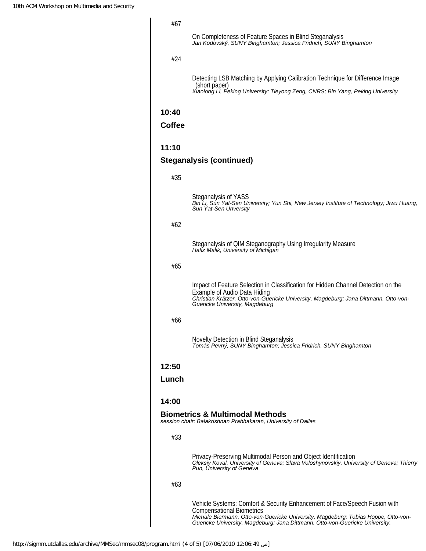#### #67

On Completeness of Feature Spaces in Blind Steganalysis *Jan Kodovský, SUNY Binghamton; Jessica Fridrich, SUNY Binghamton*

#### #24

Detecting LSB Matching by Applying Calibration Technique for Difference Image (short paper) *Xiaolong Li, Peking University; Tieyong Zeng, CNRS; Bin Yang, Peking University*

#### **10:40**

#### **Coffee**

#### **11:10**

### **Steganalysis (continued)**

|       | Steganalysis of YASS<br>Bin Li, Sun Yat-Sen University; Yun Shi, New Jersey Institute of Technology; Jiwu Huang,<br>Sun Yat-Sen Unversity                                                                                                                                            |
|-------|--------------------------------------------------------------------------------------------------------------------------------------------------------------------------------------------------------------------------------------------------------------------------------------|
| #62   |                                                                                                                                                                                                                                                                                      |
|       | Steganalysis of QIM Steganography Using Irregularity Measure<br>Hafiz Malik, University of Michigan                                                                                                                                                                                  |
| #65   |                                                                                                                                                                                                                                                                                      |
|       | Impact of Feature Selection in Classification for Hidden Channel Detection on the<br>Example of Audio Data Hiding<br>Christian Krätzer, Otto-von-Guericke University, Magdeburg; Jana Dittmann, Otto-von-<br>Guericke University, Magdeburg                                          |
| #66   |                                                                                                                                                                                                                                                                                      |
|       | Novelty Detection in Blind Steganalysis<br>Tomás Pevný, SUNY Binghamton; Jessica Fridrich, SUNY Binghamton                                                                                                                                                                           |
| 12:50 |                                                                                                                                                                                                                                                                                      |
| Lunch |                                                                                                                                                                                                                                                                                      |
| 14:00 |                                                                                                                                                                                                                                                                                      |
|       | <b>Biometrics &amp; Multimodal Methods</b><br>session chair: Balakrishnan Prabhakaran, University of Dallas                                                                                                                                                                          |
| #33   |                                                                                                                                                                                                                                                                                      |
|       | Privacy-Preserving Multimodal Person and Object Identification<br>Oleksiy Koval, University of Geneva; Slava Voloshynovskiy, University of Geneva; Thierry<br>Pun, University of Geneva                                                                                              |
| #63   |                                                                                                                                                                                                                                                                                      |
|       | Vehicle Systems: Comfort & Security Enhancement of Face/Speech Fusion with<br><b>Compensational Biometrics</b><br>Michale Biermann, Otto-von-Guericke University, Magdeburg; Tobias Hoppe, Otto-von-<br>Guericke University, Magdeburg; Jana Dittmann, Otto-von-Guericke University, |